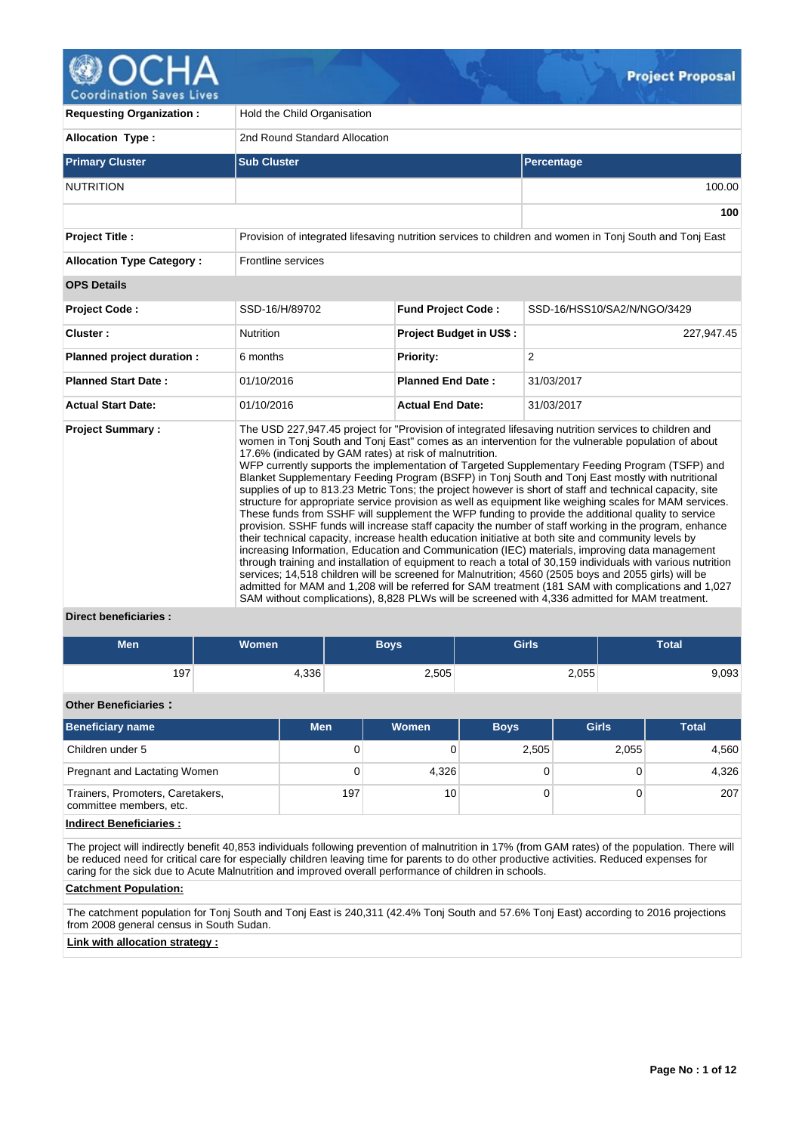

**Coordination Saves Lives** 

| <b>Requesting Organization:</b>  | Hold the Child Organisation                             |                           |                                                                                                                                                                                                                                                                                                                                                                                                                                                                                                                                                                                                                                                                                                                                                                                                                                                                                                                                                                                                                                                                                                                                                                                                                                                                                                                                                                                                                                                                                                    |  |  |  |  |  |
|----------------------------------|---------------------------------------------------------|---------------------------|----------------------------------------------------------------------------------------------------------------------------------------------------------------------------------------------------------------------------------------------------------------------------------------------------------------------------------------------------------------------------------------------------------------------------------------------------------------------------------------------------------------------------------------------------------------------------------------------------------------------------------------------------------------------------------------------------------------------------------------------------------------------------------------------------------------------------------------------------------------------------------------------------------------------------------------------------------------------------------------------------------------------------------------------------------------------------------------------------------------------------------------------------------------------------------------------------------------------------------------------------------------------------------------------------------------------------------------------------------------------------------------------------------------------------------------------------------------------------------------------------|--|--|--|--|--|
| <b>Allocation Type:</b>          | 2nd Round Standard Allocation                           |                           |                                                                                                                                                                                                                                                                                                                                                                                                                                                                                                                                                                                                                                                                                                                                                                                                                                                                                                                                                                                                                                                                                                                                                                                                                                                                                                                                                                                                                                                                                                    |  |  |  |  |  |
| <b>Primary Cluster</b>           | <b>Sub Cluster</b>                                      |                           | Percentage                                                                                                                                                                                                                                                                                                                                                                                                                                                                                                                                                                                                                                                                                                                                                                                                                                                                                                                                                                                                                                                                                                                                                                                                                                                                                                                                                                                                                                                                                         |  |  |  |  |  |
| <b>NUTRITION</b>                 |                                                         |                           | 100.00                                                                                                                                                                                                                                                                                                                                                                                                                                                                                                                                                                                                                                                                                                                                                                                                                                                                                                                                                                                                                                                                                                                                                                                                                                                                                                                                                                                                                                                                                             |  |  |  |  |  |
|                                  |                                                         |                           | 100                                                                                                                                                                                                                                                                                                                                                                                                                                                                                                                                                                                                                                                                                                                                                                                                                                                                                                                                                                                                                                                                                                                                                                                                                                                                                                                                                                                                                                                                                                |  |  |  |  |  |
| <b>Project Title:</b>            |                                                         |                           | Provision of integrated lifesaving nutrition services to children and women in Tonj South and Tonj East                                                                                                                                                                                                                                                                                                                                                                                                                                                                                                                                                                                                                                                                                                                                                                                                                                                                                                                                                                                                                                                                                                                                                                                                                                                                                                                                                                                            |  |  |  |  |  |
| <b>Allocation Type Category:</b> | <b>Frontline services</b>                               |                           |                                                                                                                                                                                                                                                                                                                                                                                                                                                                                                                                                                                                                                                                                                                                                                                                                                                                                                                                                                                                                                                                                                                                                                                                                                                                                                                                                                                                                                                                                                    |  |  |  |  |  |
| <b>OPS Details</b>               |                                                         |                           |                                                                                                                                                                                                                                                                                                                                                                                                                                                                                                                                                                                                                                                                                                                                                                                                                                                                                                                                                                                                                                                                                                                                                                                                                                                                                                                                                                                                                                                                                                    |  |  |  |  |  |
| <b>Project Code:</b>             | SSD-16/H/89702                                          | <b>Fund Project Code:</b> | SSD-16/HSS10/SA2/N/NGO/3429                                                                                                                                                                                                                                                                                                                                                                                                                                                                                                                                                                                                                                                                                                                                                                                                                                                                                                                                                                                                                                                                                                                                                                                                                                                                                                                                                                                                                                                                        |  |  |  |  |  |
| Cluster:                         | <b>Nutrition</b>                                        | Project Budget in US\$:   | 227,947.45                                                                                                                                                                                                                                                                                                                                                                                                                                                                                                                                                                                                                                                                                                                                                                                                                                                                                                                                                                                                                                                                                                                                                                                                                                                                                                                                                                                                                                                                                         |  |  |  |  |  |
| Planned project duration :       | 6 months                                                | Priority:                 | 2                                                                                                                                                                                                                                                                                                                                                                                                                                                                                                                                                                                                                                                                                                                                                                                                                                                                                                                                                                                                                                                                                                                                                                                                                                                                                                                                                                                                                                                                                                  |  |  |  |  |  |
| <b>Planned Start Date:</b>       | 01/10/2016                                              | <b>Planned End Date:</b>  | 31/03/2017                                                                                                                                                                                                                                                                                                                                                                                                                                                                                                                                                                                                                                                                                                                                                                                                                                                                                                                                                                                                                                                                                                                                                                                                                                                                                                                                                                                                                                                                                         |  |  |  |  |  |
| <b>Actual Start Date:</b>        | 01/10/2016                                              | <b>Actual End Date:</b>   | 31/03/2017                                                                                                                                                                                                                                                                                                                                                                                                                                                                                                                                                                                                                                                                                                                                                                                                                                                                                                                                                                                                                                                                                                                                                                                                                                                                                                                                                                                                                                                                                         |  |  |  |  |  |
| <b>Project Summary:</b>          | 17.6% (indicated by GAM rates) at risk of malnutrition. |                           | The USD 227,947.45 project for "Provision of integrated lifesaving nutrition services to children and<br>women in Tonj South and Tonj East" comes as an intervention for the vulnerable population of about<br>WFP currently supports the implementation of Targeted Supplementary Feeding Program (TSFP) and<br>Blanket Supplementary Feeding Program (BSFP) in Tonj South and Tonj East mostly with nutritional<br>supplies of up to 813.23 Metric Tons; the project however is short of staff and technical capacity, site<br>structure for appropriate service provision as well as equipment like weighing scales for MAM services.<br>These funds from SSHF will supplement the WFP funding to provide the additional quality to service<br>provision. SSHF funds will increase staff capacity the number of staff working in the program, enhance<br>their technical capacity, increase health education initiative at both site and community levels by<br>increasing Information, Education and Communication (IEC) materials, improving data management<br>through training and installation of equipment to reach a total of 30,159 individuals with various nutrition<br>services; 14,518 children will be screened for Malnutrition; 4560 (2505 boys and 2055 girls) will be<br>admitted for MAM and 1,208 will be referred for SAM treatment (181 SAM with complications and 1,027<br>SAM without complications), 8,828 PLWs will be screened with 4,336 admitted for MAM treatment. |  |  |  |  |  |

# **Direct beneficiaries :**

| <b>Men</b> | <b>Women</b> | <b>Boys</b> | <b>Girls</b> | <b>Total</b> |
|------------|--------------|-------------|--------------|--------------|
| 197        | 4,336        | 2,505       | 2,055        | 9,093        |

# **Other Beneficiaries :**

| <b>Men</b> | Women | <b>Boys</b> | <b>Girls</b> | <b>Total</b> |
|------------|-------|-------------|--------------|--------------|
| 0          |       | 2,505       | 2,055        | 4,560        |
| 0          |       |             |              | 4,326        |
| 197        | 10    |             |              | 207          |
|            |       | 4,326       |              |              |

# **Indirect Beneficiaries :**

The project will indirectly benefit 40,853 individuals following prevention of malnutrition in 17% (from GAM rates) of the population. There will be reduced need for critical care for especially children leaving time for parents to do other productive activities. Reduced expenses for caring for the sick due to Acute Malnutrition and improved overall performance of children in schools.

## **Catchment Population:**

The catchment population for Tonj South and Tonj East is 240,311 (42.4% Tonj South and 57.6% Tonj East) according to 2016 projections from 2008 general census in South Sudan.

# **Link with allocation strategy :**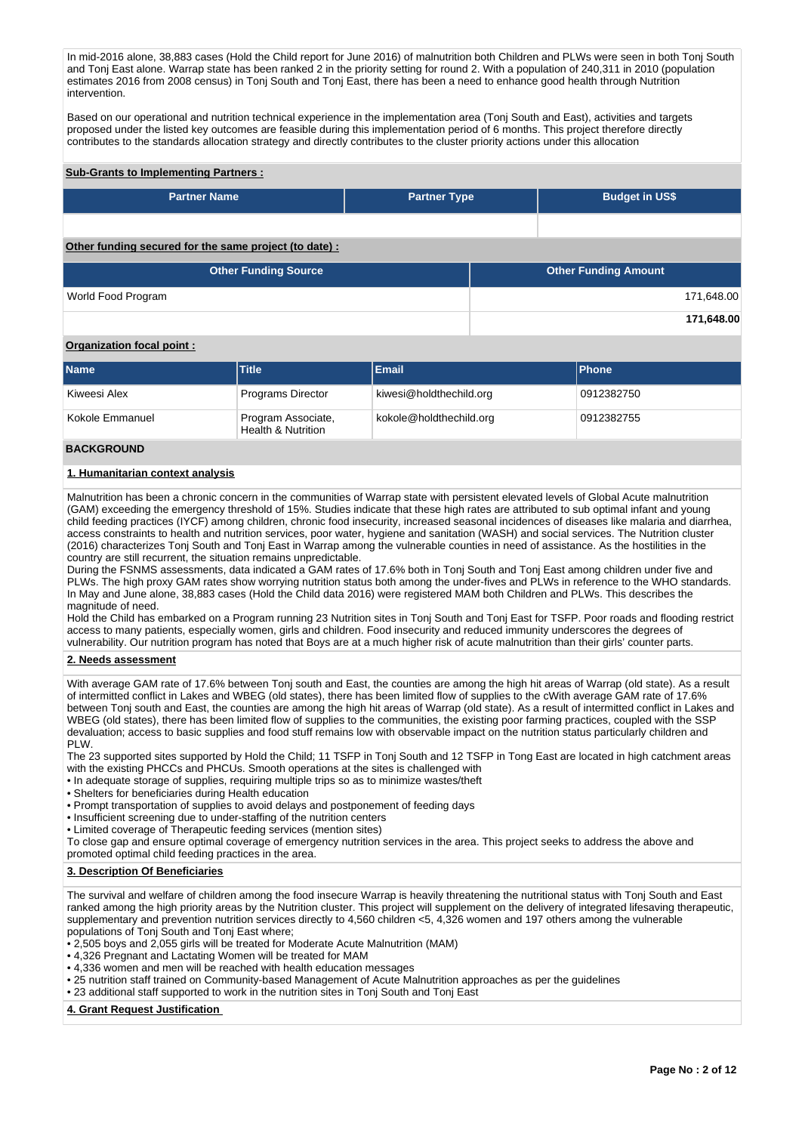In mid-2016 alone, 38,883 cases (Hold the Child report for June 2016) of malnutrition both Children and PLWs were seen in both Tonj South and Tonj East alone. Warrap state has been ranked 2 in the priority setting for round 2. With a population of 240,311 in 2010 (population estimates 2016 from 2008 census) in Tonj South and Tonj East, there has been a need to enhance good health through Nutrition intervention.

Based on our operational and nutrition technical experience in the implementation area (Toni South and East), activities and targets proposed under the listed key outcomes are feasible during this implementation period of 6 months. This project therefore directly contributes to the standards allocation strategy and directly contributes to the cluster priority actions under this allocation

#### **Sub-Grants to Implementing Partners :**

| <b>Partner Name</b>                                          | <b>Partner Type</b> | <b>Budget in US\$</b> |  |  |  |  |  |  |  |
|--------------------------------------------------------------|---------------------|-----------------------|--|--|--|--|--|--|--|
|                                                              |                     |                       |  |  |  |  |  |  |  |
| Other from dinar executed from the sense worked the details. |                     |                       |  |  |  |  |  |  |  |

# **Other funding secured for the same project (to date) :**

| <b>Other Funding Source</b> | <b>Other Funding Amount</b> |
|-----------------------------|-----------------------------|
| World Food Program          | 171,648.00                  |
|                             | 171,648.00                  |

# **Organization focal point :**

| <b>Name</b>     | <b>Title</b>                             | Email                   | <b>IPhone</b> |
|-----------------|------------------------------------------|-------------------------|---------------|
| Kiweesi Alex    | <b>Programs Director</b>                 | kiwesi@holdthechild.org | 0912382750    |
| Kokole Emmanuel | Program Associate,<br>Health & Nutrition | kokole@holdthechild.org | 0912382755    |

#### **BACKGROUND**

## **1. Humanitarian context analysis**

Malnutrition has been a chronic concern in the communities of Warrap state with persistent elevated levels of Global Acute malnutrition (GAM) exceeding the emergency threshold of 15%. Studies indicate that these high rates are attributed to sub optimal infant and young child feeding practices (IYCF) among children, chronic food insecurity, increased seasonal incidences of diseases like malaria and diarrhea, access constraints to health and nutrition services, poor water, hygiene and sanitation (WASH) and social services. The Nutrition cluster (2016) characterizes Tonj South and Tonj East in Warrap among the vulnerable counties in need of assistance. As the hostilities in the country are still recurrent, the situation remains unpredictable.

During the FSNMS assessments, data indicated a GAM rates of 17.6% both in Tonj South and Tonj East among children under five and PLWs. The high proxy GAM rates show worrying nutrition status both among the under-fives and PLWs in reference to the WHO standards. In May and June alone, 38,883 cases (Hold the Child data 2016) were registered MAM both Children and PLWs. This describes the magnitude of need.

Hold the Child has embarked on a Program running 23 Nutrition sites in Tonj South and Tonj East for TSFP. Poor roads and flooding restrict access to many patients, especially women, girls and children. Food insecurity and reduced immunity underscores the degrees of vulnerability. Our nutrition program has noted that Boys are at a much higher risk of acute malnutrition than their girls' counter parts.

#### **2. Needs assessment**

With average GAM rate of 17.6% between Tonj south and East, the counties are among the high hit areas of Warrap (old state). As a result of intermitted conflict in Lakes and WBEG (old states), there has been limited flow of supplies to the cWith average GAM rate of 17.6% between Tonj south and East, the counties are among the high hit areas of Warrap (old state). As a result of intermitted conflict in Lakes and WBEG (old states), there has been limited flow of supplies to the communities, the existing poor farming practices, coupled with the SSP devaluation; access to basic supplies and food stuff remains low with observable impact on the nutrition status particularly children and PLW.

The 23 supported sites supported by Hold the Child; 11 TSFP in Tonj South and 12 TSFP in Tong East are located in high catchment areas with the existing PHCCs and PHCUs. Smooth operations at the sites is challenged with

- In adequate storage of supplies, requiring multiple trips so as to minimize wastes/theft
- Shelters for beneficiaries during Health education
- Prompt transportation of supplies to avoid delays and postponement of feeding days
- Insufficient screening due to under-staffing of the nutrition centers
- Limited coverage of Therapeutic feeding services (mention sites)

To close gap and ensure optimal coverage of emergency nutrition services in the area. This project seeks to address the above and promoted optimal child feeding practices in the area.

#### **3. Description Of Beneficiaries**

The survival and welfare of children among the food insecure Warrap is heavily threatening the nutritional status with Tonj South and East ranked among the high priority areas by the Nutrition cluster. This project will supplement on the delivery of integrated lifesaving therapeutic, supplementary and prevention nutrition services directly to 4,560 children <5, 4,326 women and 197 others among the vulnerable populations of Tonj South and Tonj East where;

- 2,505 boys and 2,055 girls will be treated for Moderate Acute Malnutrition (MAM)
- 4,326 Pregnant and Lactating Women will be treated for MAM
- 4,336 women and men will be reached with health education messages
- 25 nutrition staff trained on Community-based Management of Acute Malnutrition approaches as per the guidelines
- 23 additional staff supported to work in the nutrition sites in Tonj South and Tonj East

# **4. Grant Request Justification**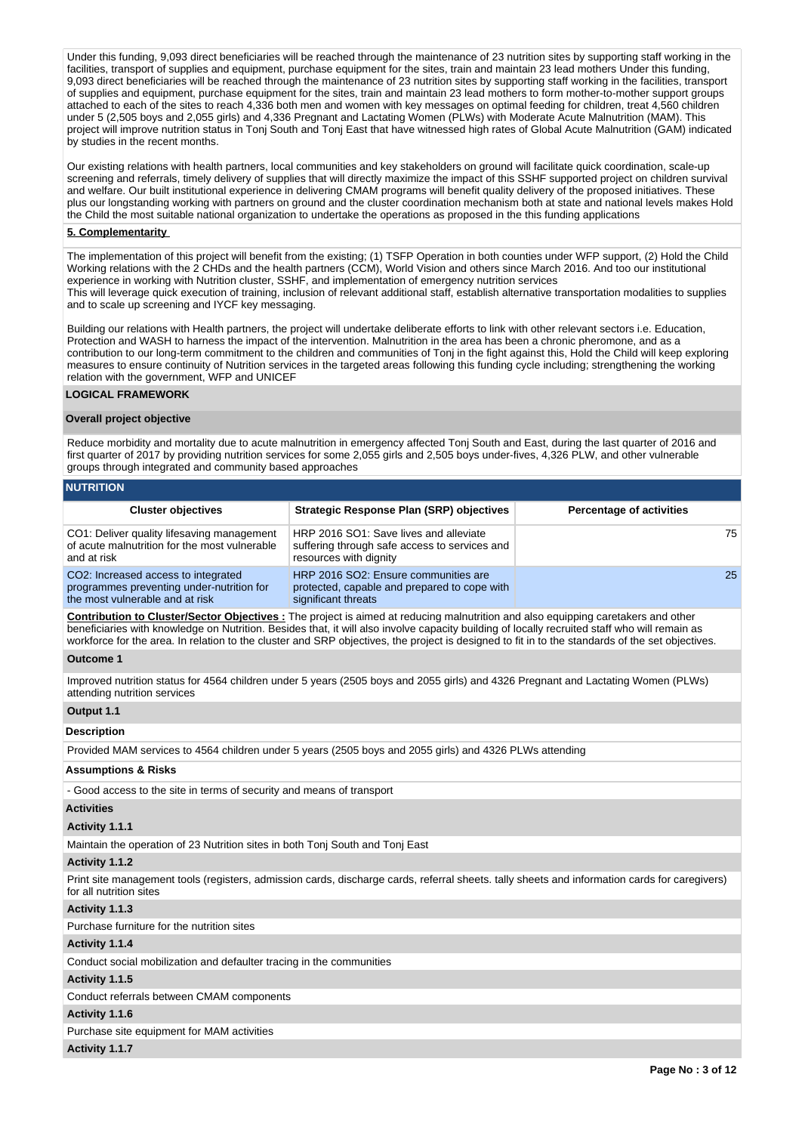Under this funding, 9,093 direct beneficiaries will be reached through the maintenance of 23 nutrition sites by supporting staff working in the facilities, transport of supplies and equipment, purchase equipment for the sites, train and maintain 23 lead mothers Under this funding, 9,093 direct beneficiaries will be reached through the maintenance of 23 nutrition sites by supporting staff working in the facilities, transport of supplies and equipment, purchase equipment for the sites, train and maintain 23 lead mothers to form mother-to-mother support groups attached to each of the sites to reach 4,336 both men and women with key messages on optimal feeding for children, treat 4,560 children under 5 (2,505 boys and 2,055 girls) and 4,336 Pregnant and Lactating Women (PLWs) with Moderate Acute Malnutrition (MAM). This project will improve nutrition status in Tonj South and Tonj East that have witnessed high rates of Global Acute Malnutrition (GAM) indicated by studies in the recent months.

Our existing relations with health partners, local communities and key stakeholders on ground will facilitate quick coordination, scale-up screening and referrals, timely delivery of supplies that will directly maximize the impact of this SSHF supported project on children survival and welfare. Our built institutional experience in delivering CMAM programs will benefit quality delivery of the proposed initiatives. These plus our longstanding working with partners on ground and the cluster coordination mechanism both at state and national levels makes Hold the Child the most suitable national organization to undertake the operations as proposed in the this funding applications

#### **5. Complementarity**

The implementation of this project will benefit from the existing; (1) TSFP Operation in both counties under WFP support, (2) Hold the Child Working relations with the 2 CHDs and the health partners (CCM), World Vision and others since March 2016. And too our institutional experience in working with Nutrition cluster, SSHF, and implementation of emergency nutrition services This will leverage quick execution of training, inclusion of relevant additional staff, establish alternative transportation modalities to supplies and to scale up screening and IYCF key messaging.

Building our relations with Health partners, the project will undertake deliberate efforts to link with other relevant sectors i.e. Education, Protection and WASH to harness the impact of the intervention. Malnutrition in the area has been a chronic pheromone, and as a contribution to our long-term commitment to the children and communities of Tonj in the fight against this, Hold the Child will keep exploring measures to ensure continuity of Nutrition services in the targeted areas following this funding cycle including; strengthening the working relation with the government, WFP and UNICEF

#### **LOGICAL FRAMEWORK**

# **Overall project objective**

Reduce morbidity and mortality due to acute malnutrition in emergency affected Tonj South and East, during the last quarter of 2016 and first quarter of 2017 by providing nutrition services for some 2,055 girls and 2,505 boys under-fives, 4,326 PLW, and other vulnerable groups through integrated and community based approaches

| INVIINII IVIN                                                                                                       |                                                                                                                   |                                 |
|---------------------------------------------------------------------------------------------------------------------|-------------------------------------------------------------------------------------------------------------------|---------------------------------|
| <b>Cluster objectives</b>                                                                                           | <b>Strategic Response Plan (SRP) objectives</b>                                                                   | <b>Percentage of activities</b> |
| CO1: Deliver quality lifesaving management<br>of acute malnutrition for the most vulnerable<br>and at risk          | HRP 2016 SO1: Save lives and alleviate<br>suffering through safe access to services and<br>resources with dignity | 75                              |
| CO2: Increased access to integrated<br>programmes preventing under-nutrition for<br>the most vulnerable and at risk | HRP 2016 SO2: Ensure communities are<br>protected, capable and prepared to cope with<br>significant threats       | 25 <sub>1</sub>                 |

**Contribution to Cluster/Sector Objectives :** The project is aimed at reducing malnutrition and also equipping caretakers and other beneficiaries with knowledge on Nutrition. Besides that, it will also involve capacity building of locally recruited staff who will remain as workforce for the area. In relation to the cluster and SRP objectives, the project is designed to fit in to the standards of the set objectives.

#### **Outcome 1**

**NUTRITION**

Improved nutrition status for 4564 children under 5 years (2505 boys and 2055 girls) and 4326 Pregnant and Lactating Women (PLWs) attending nutrition services

# **Output 1.1**

### **Description**

Provided MAM services to 4564 children under 5 years (2505 boys and 2055 girls) and 4326 PLWs attending

#### **Assumptions & Risks**

- Good access to the site in terms of security and means of transport

#### **Activities**

#### **Activity 1.1.1**

Maintain the operation of 23 Nutrition sites in both Tonj South and Tonj East

#### **Activity 1.1.2**

Print site management tools (registers, admission cards, discharge cards, referral sheets. tally sheets and information cards for caregivers) for all nutrition sites

### **Activity 1.1.3**

Purchase furniture for the nutrition sites

#### **Activity 1.1.4**

Conduct social mobilization and defaulter tracing in the communities

#### **Activity 1.1.5**

Conduct referrals between CMAM components

#### **Activity 1.1.6**

Purchase site equipment for MAM activities

#### **Activity 1.1.7**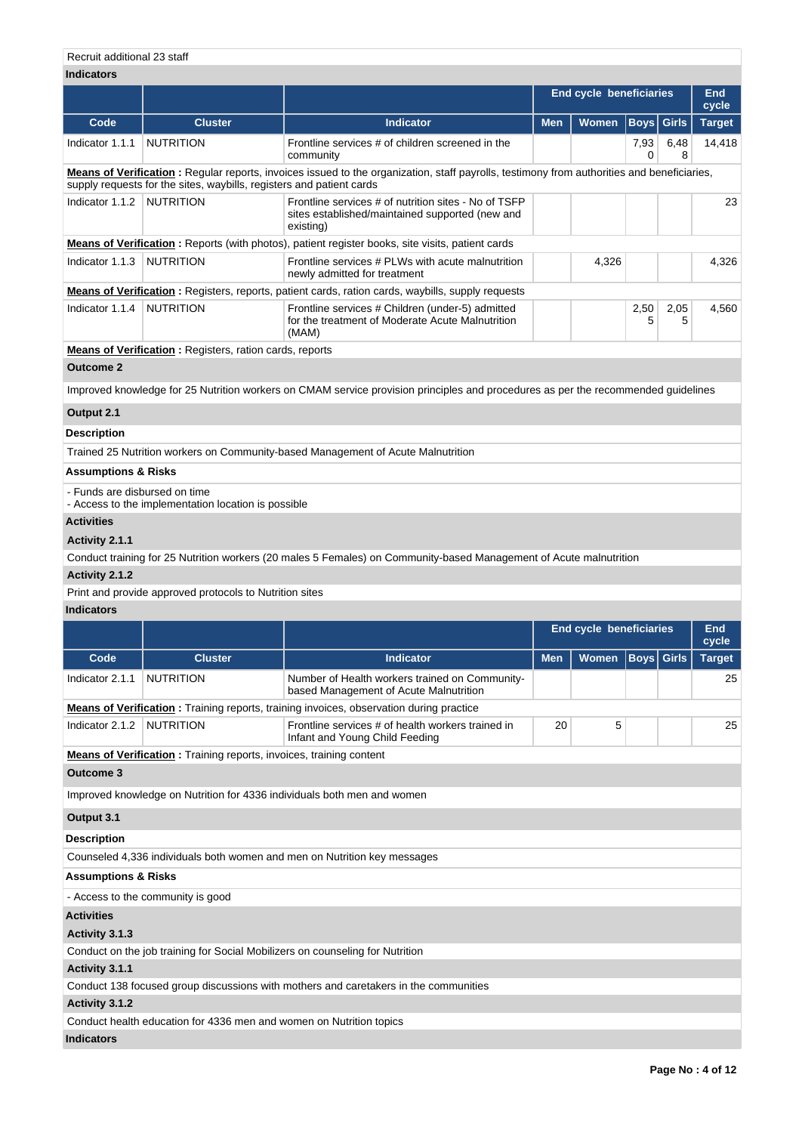| <b>Indicators</b>             |                                                                                                                                                                                                                    |                                                                                                                                   |                                |                                |             |              |               |  |
|-------------------------------|--------------------------------------------------------------------------------------------------------------------------------------------------------------------------------------------------------------------|-----------------------------------------------------------------------------------------------------------------------------------|--------------------------------|--------------------------------|-------------|--------------|---------------|--|
|                               |                                                                                                                                                                                                                    |                                                                                                                                   | <b>End cycle beneficiaries</b> |                                |             |              | End<br>cycle  |  |
| Code                          | <b>Cluster</b>                                                                                                                                                                                                     | <b>Indicator</b>                                                                                                                  | <b>Men</b>                     | <b>Women</b>                   | <b>Boys</b> | <b>Girls</b> | <b>Target</b> |  |
| Indicator 1.1.1               | <b>NUTRITION</b>                                                                                                                                                                                                   | Frontline services # of children screened in the<br>community                                                                     |                                |                                | 7,93<br>0   | 6,48<br>8    | 14,418        |  |
|                               | Means of Verification: Regular reports, invoices issued to the organization, staff payrolls, testimony from authorities and beneficiaries,<br>supply requests for the sites, waybills, registers and patient cards |                                                                                                                                   |                                |                                |             |              |               |  |
| Indicator 1.1.2               | <b>NUTRITION</b>                                                                                                                                                                                                   | Frontline services # of nutrition sites - No of TSFP<br>sites established/maintained supported (new and<br>existing)              |                                |                                |             |              | 23            |  |
|                               |                                                                                                                                                                                                                    | Means of Verification: Reports (with photos), patient register books, site visits, patient cards                                  |                                |                                |             |              |               |  |
| Indicator 1.1.3 NUTRITION     |                                                                                                                                                                                                                    | Frontline services # PLWs with acute malnutrition<br>newly admitted for treatment                                                 |                                | 4,326                          |             |              | 4,326         |  |
|                               |                                                                                                                                                                                                                    | <b>Means of Verification</b> : Registers, reports, patient cards, ration cards, waybills, supply requests                         |                                |                                |             |              |               |  |
| Indicator 1.1.4               | <b>NUTRITION</b>                                                                                                                                                                                                   | Frontline services # Children (under-5) admitted<br>for the treatment of Moderate Acute Malnutrition<br>(MAM)                     |                                |                                | 2,50<br>5   | 2,05<br>5    | 4,560         |  |
|                               | <b>Means of Verification:</b> Registers, ration cards, reports                                                                                                                                                     |                                                                                                                                   |                                |                                |             |              |               |  |
| <b>Outcome 2</b>              |                                                                                                                                                                                                                    |                                                                                                                                   |                                |                                |             |              |               |  |
|                               |                                                                                                                                                                                                                    | Improved knowledge for 25 Nutrition workers on CMAM service provision principles and procedures as per the recommended guidelines |                                |                                |             |              |               |  |
| Output 2.1                    |                                                                                                                                                                                                                    |                                                                                                                                   |                                |                                |             |              |               |  |
|                               |                                                                                                                                                                                                                    |                                                                                                                                   |                                |                                |             |              |               |  |
| Description                   |                                                                                                                                                                                                                    |                                                                                                                                   |                                |                                |             |              |               |  |
|                               |                                                                                                                                                                                                                    | Trained 25 Nutrition workers on Community-based Management of Acute Malnutrition                                                  |                                |                                |             |              |               |  |
| Assumptions & Risks           |                                                                                                                                                                                                                    |                                                                                                                                   |                                |                                |             |              |               |  |
| - Funds are disbursed on time | - Access to the implementation location is possible                                                                                                                                                                |                                                                                                                                   |                                |                                |             |              |               |  |
| <b>Activities</b>             |                                                                                                                                                                                                                    |                                                                                                                                   |                                |                                |             |              |               |  |
| Activity 2.1.1                |                                                                                                                                                                                                                    |                                                                                                                                   |                                |                                |             |              |               |  |
|                               |                                                                                                                                                                                                                    | Conduct training for 25 Nutrition workers (20 males 5 Females) on Community-based Management of Acute malnutrition                |                                |                                |             |              |               |  |
| Activity 2.1.2                |                                                                                                                                                                                                                    |                                                                                                                                   |                                |                                |             |              |               |  |
|                               | Print and provide approved protocols to Nutrition sites                                                                                                                                                            |                                                                                                                                   |                                |                                |             |              |               |  |
| <b>Indicators</b>             |                                                                                                                                                                                                                    |                                                                                                                                   |                                |                                |             |              |               |  |
|                               |                                                                                                                                                                                                                    |                                                                                                                                   |                                | <b>End cycle beneficiaries</b> |             |              | End<br>cycle  |  |
| Code                          | <b>Cluster</b>                                                                                                                                                                                                     | <b>Indicator</b>                                                                                                                  | <b>Men</b>                     | <b>Women</b>                   | Boys        | Girls        | <b>Target</b> |  |
| Indicator 2.1.1               | <b>NUTRITION</b>                                                                                                                                                                                                   | Number of Health workers trained on Community-<br>based Management of Acute Malnutrition                                          |                                |                                |             |              | 25            |  |
|                               |                                                                                                                                                                                                                    | <b>Means of Verification</b> : Training reports, training invoices, observation during practice                                   |                                |                                |             |              |               |  |
| Indicator 2.1.2               | NUTRITION                                                                                                                                                                                                          | Frontline services # of health workers trained in<br>Infant and Young Child Feeding                                               | 20                             | 5                              |             |              | 25            |  |
|                               | <b>Means of Verification:</b> Training reports, invoices, training content                                                                                                                                         |                                                                                                                                   |                                |                                |             |              |               |  |
| <b>Outcome 3</b>              |                                                                                                                                                                                                                    |                                                                                                                                   |                                |                                |             |              |               |  |
|                               |                                                                                                                                                                                                                    | Improved knowledge on Nutrition for 4336 individuals both men and women                                                           |                                |                                |             |              |               |  |
| Output 3.1                    |                                                                                                                                                                                                                    |                                                                                                                                   |                                |                                |             |              |               |  |
| <b>Description</b>            |                                                                                                                                                                                                                    |                                                                                                                                   |                                |                                |             |              |               |  |
|                               |                                                                                                                                                                                                                    | Counseled 4,336 individuals both women and men on Nutrition key messages                                                          |                                |                                |             |              |               |  |
| Assumptions & Risks           |                                                                                                                                                                                                                    |                                                                                                                                   |                                |                                |             |              |               |  |
|                               | - Access to the community is good                                                                                                                                                                                  |                                                                                                                                   |                                |                                |             |              |               |  |
| <b>Activities</b>             |                                                                                                                                                                                                                    |                                                                                                                                   |                                |                                |             |              |               |  |
| Activity 3.1.3                |                                                                                                                                                                                                                    |                                                                                                                                   |                                |                                |             |              |               |  |
|                               | Conduct on the job training for Social Mobilizers on counseling for Nutrition                                                                                                                                      |                                                                                                                                   |                                |                                |             |              |               |  |
| Activity 3.1.1                |                                                                                                                                                                                                                    |                                                                                                                                   |                                |                                |             |              |               |  |
|                               |                                                                                                                                                                                                                    | Conduct 138 focused group discussions with mothers and caretakers in the communities                                              |                                |                                |             |              |               |  |
| Activity 3.1.2                |                                                                                                                                                                                                                    |                                                                                                                                   |                                |                                |             |              |               |  |
|                               | Conduct health education for 4336 men and women on Nutrition topics                                                                                                                                                |                                                                                                                                   |                                |                                |             |              |               |  |
| <b>Indicators</b>             |                                                                                                                                                                                                                    |                                                                                                                                   |                                |                                |             |              |               |  |
|                               |                                                                                                                                                                                                                    |                                                                                                                                   |                                |                                |             |              |               |  |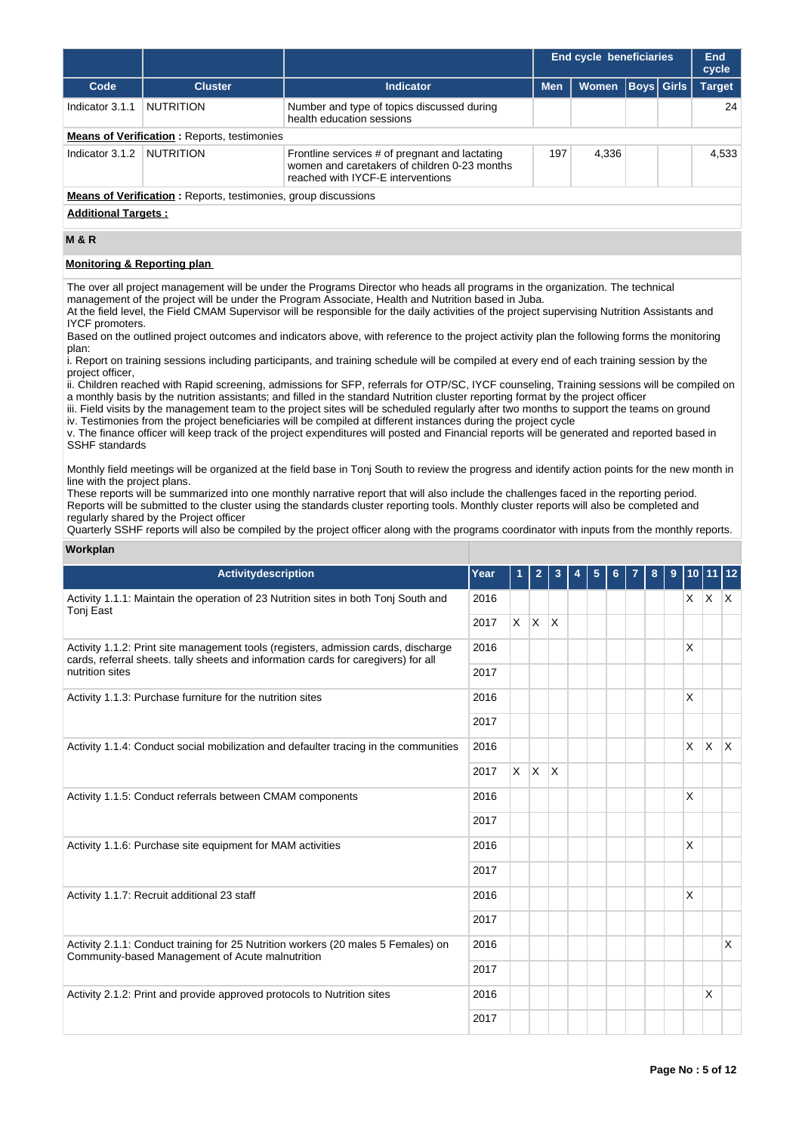|                            |                                                                       |                                                                                                                                     | End cycle beneficiaries |              |  | End<br>cycle      |               |
|----------------------------|-----------------------------------------------------------------------|-------------------------------------------------------------------------------------------------------------------------------------|-------------------------|--------------|--|-------------------|---------------|
| Code                       | <b>Cluster</b>                                                        | Indicator                                                                                                                           | <b>Men</b>              | <b>Women</b> |  | <b>Boys</b> Girls | <b>Target</b> |
| Indicator 3.1.1            | <b>NUTRITION</b>                                                      | Number and type of topics discussed during<br>health education sessions                                                             |                         |              |  |                   | 24            |
|                            | <b>Means of Verification:</b> Reports, testimonies                    |                                                                                                                                     |                         |              |  |                   |               |
| Indicator 3.1.2            | <b>NUTRITION</b>                                                      | Frontline services # of pregnant and lactating<br>women and caretakers of children 0-23 months<br>reached with IYCF-E interventions | 197                     | 4.336        |  |                   | 4,533         |
|                            | <b>Means of Verification:</b> Reports, testimonies, group discussions |                                                                                                                                     |                         |              |  |                   |               |
| <b>Additional Targets:</b> |                                                                       |                                                                                                                                     |                         |              |  |                   |               |
|                            |                                                                       |                                                                                                                                     |                         |              |  |                   |               |

# **M & R**

#### **Monitoring & Reporting plan**

The over all project management will be under the Programs Director who heads all programs in the organization. The technical management of the project will be under the Program Associate, Health and Nutrition based in Juba.

At the field level, the Field CMAM Supervisor will be responsible for the daily activities of the project supervising Nutrition Assistants and IYCF promoters.

Based on the outlined project outcomes and indicators above, with reference to the project activity plan the following forms the monitoring plan:

i. Report on training sessions including participants, and training schedule will be compiled at every end of each training session by the project officer,

ii. Children reached with Rapid screening, admissions for SFP, referrals for OTP/SC, IYCF counseling, Training sessions will be compiled on a monthly basis by the nutrition assistants; and filled in the standard Nutrition cluster reporting format by the project officer

iii. Field visits by the management team to the project sites will be scheduled regularly after two months to support the teams on ground iv. Testimonies from the project beneficiaries will be compiled at different instances during the project cycle

v. The finance officer will keep track of the project expenditures will posted and Financial reports will be generated and reported based in SSHF standards

Monthly field meetings will be organized at the field base in Tonj South to review the progress and identify action points for the new month in line with the project plans.

These reports will be summarized into one monthly narrative report that will also include the challenges faced in the reporting period. Reports will be submitted to the cluster using the standards cluster reporting tools. Monthly cluster reports will also be completed and regularly shared by the Project officer

**Workplan** Quarterly SSHF reports will also be compiled by the project officer along with the programs coordinator with inputs from the monthly reports.

| Activitydescription                                                                                                                                                      | Year | $\mathbf{1}$ | $\overline{2}$ | 3            | 4 | 5 | 6 | 7 | 8 | 9 | 10 <sup>1</sup> | 11 12        |              |
|--------------------------------------------------------------------------------------------------------------------------------------------------------------------------|------|--------------|----------------|--------------|---|---|---|---|---|---|-----------------|--------------|--------------|
| Activity 1.1.1: Maintain the operation of 23 Nutrition sites in both Tonj South and<br>Tonj East                                                                         | 2016 |              |                |              |   |   |   |   |   |   |                 | $X$ $X$ $X$  |              |
|                                                                                                                                                                          | 2017 |              | $X$ $X$ $X$    |              |   |   |   |   |   |   |                 |              |              |
| Activity 1.1.2: Print site management tools (registers, admission cards, discharge<br>cards, referral sheets. tally sheets and information cards for caregivers) for all | 2016 |              |                |              |   |   |   |   |   |   | X               |              |              |
| nutrition sites                                                                                                                                                          | 2017 |              |                |              |   |   |   |   |   |   |                 |              |              |
| Activity 1.1.3: Purchase furniture for the nutrition sites                                                                                                               | 2016 |              |                |              |   |   |   |   |   |   | X               |              |              |
|                                                                                                                                                                          | 2017 |              |                |              |   |   |   |   |   |   |                 |              |              |
| Activity 1.1.4: Conduct social mobilization and defaulter tracing in the communities                                                                                     | 2016 |              |                |              |   |   |   |   |   |   | $\times$        | $\mathsf{X}$ | $\mathsf{X}$ |
|                                                                                                                                                                          | 2017 |              | $X$ $X$        | $\mathsf{X}$ |   |   |   |   |   |   |                 |              |              |
| Activity 1.1.5: Conduct referrals between CMAM components                                                                                                                | 2016 |              |                |              |   |   |   |   |   |   | X               |              |              |
|                                                                                                                                                                          | 2017 |              |                |              |   |   |   |   |   |   |                 |              |              |
| Activity 1.1.6: Purchase site equipment for MAM activities                                                                                                               | 2016 |              |                |              |   |   |   |   |   |   | X               |              |              |
|                                                                                                                                                                          | 2017 |              |                |              |   |   |   |   |   |   |                 |              |              |
| Activity 1.1.7: Recruit additional 23 staff                                                                                                                              | 2016 |              |                |              |   |   |   |   |   |   | X               |              |              |
|                                                                                                                                                                          | 2017 |              |                |              |   |   |   |   |   |   |                 |              |              |
| Activity 2.1.1: Conduct training for 25 Nutrition workers (20 males 5 Females) on<br>Community-based Management of Acute malnutrition                                    | 2016 |              |                |              |   |   |   |   |   |   |                 |              | X            |
|                                                                                                                                                                          | 2017 |              |                |              |   |   |   |   |   |   |                 |              |              |
| Activity 2.1.2: Print and provide approved protocols to Nutrition sites                                                                                                  | 2016 |              |                |              |   |   |   |   |   |   |                 | X            |              |
|                                                                                                                                                                          | 2017 |              |                |              |   |   |   |   |   |   |                 |              |              |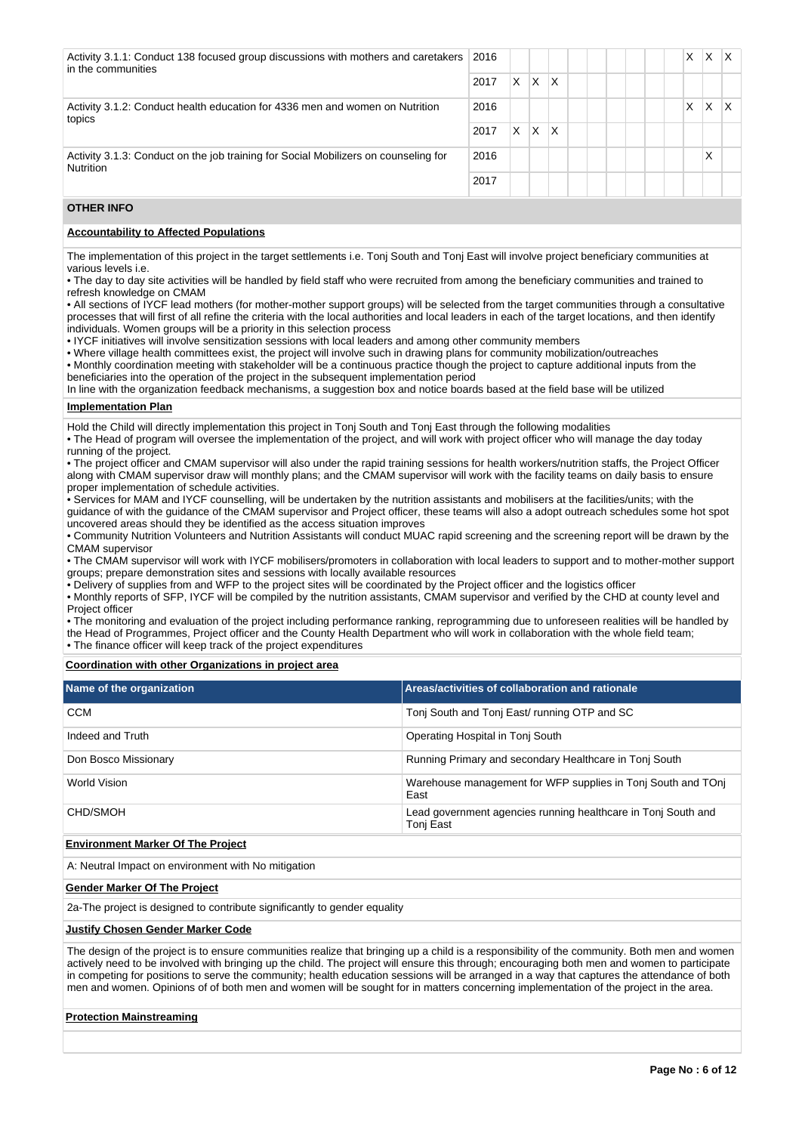| Activity 3.1.1: Conduct 138 focused group discussions with mothers and caretakers<br>in the communities | 2016 |    |                         |   |  |  |  | X | X | $\times$ |
|---------------------------------------------------------------------------------------------------------|------|----|-------------------------|---|--|--|--|---|---|----------|
|                                                                                                         | 2017 | X. | $\overline{\mathsf{x}}$ | X |  |  |  |   |   |          |
| Activity 3.1.2: Conduct health education for 4336 men and women on Nutrition<br>topics                  | 2016 |    |                         |   |  |  |  | X | Χ | $\times$ |
|                                                                                                         | 2017 | X. | $\mathsf{\chi}$         | X |  |  |  |   |   |          |
| Activity 3.1.3: Conduct on the job training for Social Mobilizers on counseling for<br><b>Nutrition</b> | 2016 |    |                         |   |  |  |  |   | X |          |
|                                                                                                         | 2017 |    |                         |   |  |  |  |   |   |          |

# **OTHER INFO**

### **Accountability to Affected Populations**

The implementation of this project in the target settlements i.e. Tonj South and Tonj East will involve project beneficiary communities at various levels i.e.

• The day to day site activities will be handled by field staff who were recruited from among the beneficiary communities and trained to refresh knowledge on CMAM

• All sections of IYCF lead mothers (for mother-mother support groups) will be selected from the target communities through a consultative processes that will first of all refine the criteria with the local authorities and local leaders in each of the target locations, and then identify individuals. Women groups will be a priority in this selection process

• IYCF initiatives will involve sensitization sessions with local leaders and among other community members

• Where village health committees exist, the project will involve such in drawing plans for community mobilization/outreaches

• Monthly coordination meeting with stakeholder will be a continuous practice though the project to capture additional inputs from the beneficiaries into the operation of the project in the subsequent implementation period

In line with the organization feedback mechanisms, a suggestion box and notice boards based at the field base will be utilized

# **Implementation Plan**

Hold the Child will directly implementation this project in Tonj South and Tonj East through the following modalities

• The Head of program will oversee the implementation of the project, and will work with project officer who will manage the day today running of the project.

• The project officer and CMAM supervisor will also under the rapid training sessions for health workers/nutrition staffs, the Project Officer along with CMAM supervisor draw will monthly plans; and the CMAM supervisor will work with the facility teams on daily basis to ensure proper implementation of schedule activities.

• Services for MAM and IYCF counselling, will be undertaken by the nutrition assistants and mobilisers at the facilities/units; with the guidance of with the guidance of the CMAM supervisor and Project officer, these teams will also a adopt outreach schedules some hot spot uncovered areas should they be identified as the access situation improves

• Community Nutrition Volunteers and Nutrition Assistants will conduct MUAC rapid screening and the screening report will be drawn by the CMAM supervisor

• The CMAM supervisor will work with IYCF mobilisers/promoters in collaboration with local leaders to support and to mother-mother support groups; prepare demonstration sites and sessions with locally available resources

• Delivery of supplies from and WFP to the project sites will be coordinated by the Project officer and the logistics officer

• Monthly reports of SFP, IYCF will be compiled by the nutrition assistants, CMAM supervisor and verified by the CHD at county level and Project officer

• The monitoring and evaluation of the project including performance ranking, reprogramming due to unforeseen realities will be handled by the Head of Programmes, Project officer and the County Health Department who will work in collaboration with the whole field team; • The finance officer will keep track of the project expenditures

**Coordination with other Organizations in project area**

| Name of the organization | Areas/activities of collaboration and rationale                            |
|--------------------------|----------------------------------------------------------------------------|
| <b>CCM</b>               | Tonj South and Tonj East/ running OTP and SC                               |
| Indeed and Truth         | Operating Hospital in Tonj South                                           |
| Don Bosco Missionary     | Running Primary and secondary Healthcare in Toni South                     |
| World Vision             | Warehouse management for WFP supplies in Toni South and TOni<br>East       |
| CHD/SMOH                 | Lead government agencies running healthcare in Toni South and<br>Tonj East |
|                          |                                                                            |

#### **Environment Marker Of The Project**

A: Neutral Impact on environment with No mitigation

#### **Gender Marker Of The Project**

2a-The project is designed to contribute significantly to gender equality

#### **Justify Chosen Gender Marker Code**

The design of the project is to ensure communities realize that bringing up a child is a responsibility of the community. Both men and women actively need to be involved with bringing up the child. The project will ensure this through; encouraging both men and women to participate in competing for positions to serve the community; health education sessions will be arranged in a way that captures the attendance of both men and women. Opinions of of both men and women will be sought for in matters concerning implementation of the project in the area.

### **Protection Mainstreaming**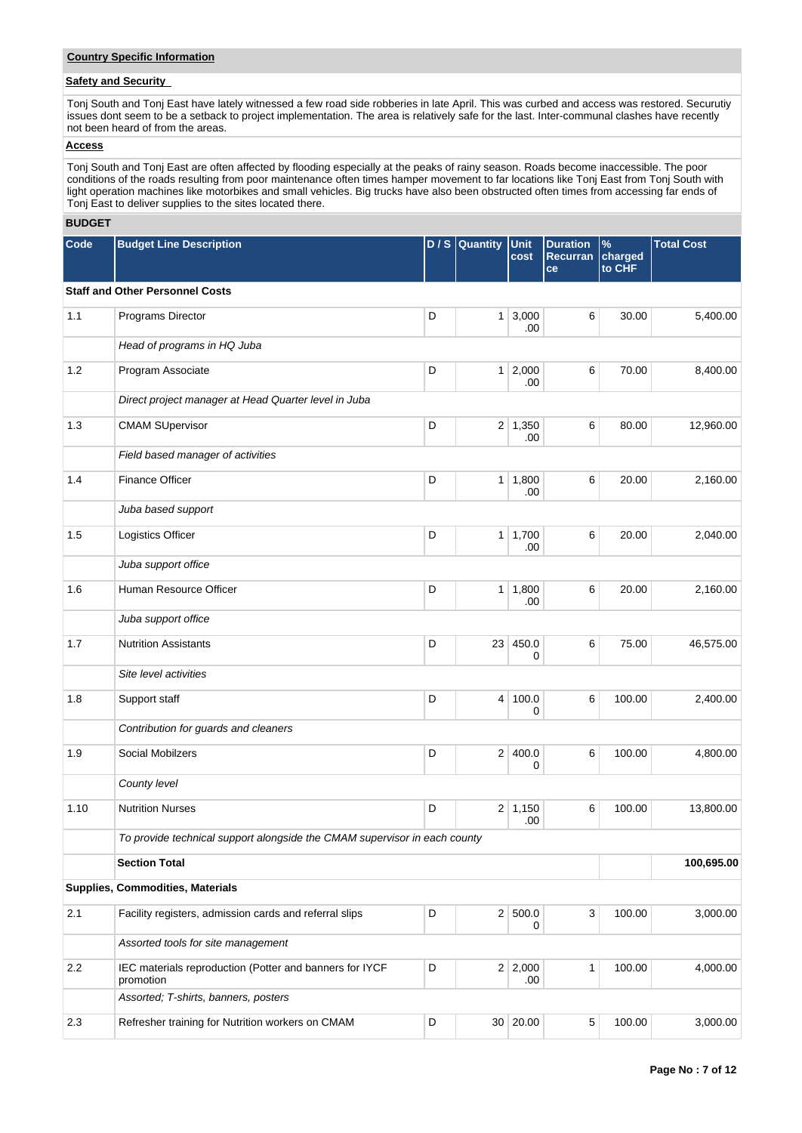## **Country Specific Information**

# **Safety and Security**

Tonj South and Tonj East have lately witnessed a few road side robberies in late April. This was curbed and access was restored. Securutiy issues dont seem to be a setback to project implementation. The area is relatively safe for the last. Inter-communal clashes have recently not been heard of from the areas.

# **Access**

Tonj South and Tonj East are often affected by flooding especially at the peaks of rainy season. Roads become inaccessible. The poor conditions of the roads resulting from poor maintenance often times hamper movement to far locations like Tonj East from Tonj South with light operation machines like motorbikes and small vehicles. Big trucks have also been obstructed often times from accessing far ends of Tonj East to deliver supplies to the sites located there.

#### **BUDGET**

| Code  | <b>Budget Line Description</b>                                            | D/S | Quantity        | Unit<br>cost          | <b>Duration</b><br><b>Recurran</b><br>ce | $\%$<br>charged<br>to CHF | <b>Total Cost</b> |  |  |  |  |  |
|-------|---------------------------------------------------------------------------|-----|-----------------|-----------------------|------------------------------------------|---------------------------|-------------------|--|--|--|--|--|
|       | <b>Staff and Other Personnel Costs</b>                                    |     |                 |                       |                                          |                           |                   |  |  |  |  |  |
| $1.1$ | Programs Director                                                         | D   |                 | $1 \mid 3,000$<br>.00 | 6                                        | 30.00                     | 5,400.00          |  |  |  |  |  |
|       | Head of programs in HQ Juba                                               |     |                 |                       |                                          |                           |                   |  |  |  |  |  |
| 1.2   | Program Associate                                                         | D   |                 | $1 \mid 2,000$<br>.00 | 6                                        | 70.00                     | 8,400.00          |  |  |  |  |  |
|       | Direct project manager at Head Quarter level in Juba                      |     |                 |                       |                                          |                           |                   |  |  |  |  |  |
| 1.3   | <b>CMAM SUpervisor</b>                                                    | D   |                 | $2 \mid 1,350$<br>.00 | 6                                        | 80.00                     | 12,960.00         |  |  |  |  |  |
|       | Field based manager of activities                                         |     |                 |                       |                                          |                           |                   |  |  |  |  |  |
| 1.4   | <b>Finance Officer</b>                                                    | D   |                 | 1 1,800<br>.00        | 6                                        | 20.00                     | 2,160.00          |  |  |  |  |  |
|       | Juba based support                                                        |     |                 |                       |                                          |                           |                   |  |  |  |  |  |
| 1.5   | Logistics Officer                                                         | D   |                 | 1   1,700<br>.00      | 6                                        | 20.00                     | 2,040.00          |  |  |  |  |  |
|       | Juba support office                                                       |     |                 |                       |                                          |                           |                   |  |  |  |  |  |
| 1.6   | Human Resource Officer                                                    | D   | 1 <sup>1</sup>  | 1,800<br>.00          | 6                                        | 20.00                     | 2,160.00          |  |  |  |  |  |
|       | Juba support office                                                       |     |                 |                       |                                          |                           |                   |  |  |  |  |  |
| 1.7   | <b>Nutrition Assistants</b>                                               | D   | 23 <sup>1</sup> | 450.0<br>0            | 6                                        | 75.00                     | 46,575.00         |  |  |  |  |  |
|       | Site level activities                                                     |     |                 |                       |                                          |                           |                   |  |  |  |  |  |
| 1.8   | Support staff                                                             | D   |                 | 4 100.0<br>0          | 6                                        | 100.00                    | 2,400.00          |  |  |  |  |  |
|       | Contribution for guards and cleaners                                      |     |                 |                       |                                          |                           |                   |  |  |  |  |  |
| 1.9   | Social Mobilzers                                                          | D   |                 | 2 400.0<br>0          | 6                                        | 100.00                    | 4,800.00          |  |  |  |  |  |
|       | County level                                                              |     |                 |                       |                                          |                           |                   |  |  |  |  |  |
| 1.10  | <b>Nutrition Nurses</b>                                                   | D   |                 | $2 \mid 1,150$<br>.00 | 6                                        | 100.00                    | 13,800.00         |  |  |  |  |  |
|       | To provide technical support alongside the CMAM supervisor in each county |     |                 |                       |                                          |                           |                   |  |  |  |  |  |
|       | <b>Section Total</b>                                                      |     |                 |                       |                                          |                           | 100,695.00        |  |  |  |  |  |
|       | Supplies, Commodities, Materials                                          |     |                 |                       |                                          |                           |                   |  |  |  |  |  |
| 2.1   | Facility registers, admission cards and referral slips                    | D   |                 | 2 500.0<br>0          | 3                                        | 100.00                    | 3,000.00          |  |  |  |  |  |
|       | Assorted tools for site management                                        |     |                 |                       |                                          |                           |                   |  |  |  |  |  |
| 2.2   | IEC materials reproduction (Potter and banners for IYCF<br>promotion      | D   |                 | 2 2,000<br>.00        | $\mathbf{1}$                             | 100.00                    | 4,000.00          |  |  |  |  |  |
|       | Assorted; T-shirts, banners, posters                                      |     |                 |                       |                                          |                           |                   |  |  |  |  |  |
| 2.3   | Refresher training for Nutrition workers on CMAM                          | D   |                 | 30 20.00              | $\,$ 5 $\,$                              | 100.00                    | 3,000.00          |  |  |  |  |  |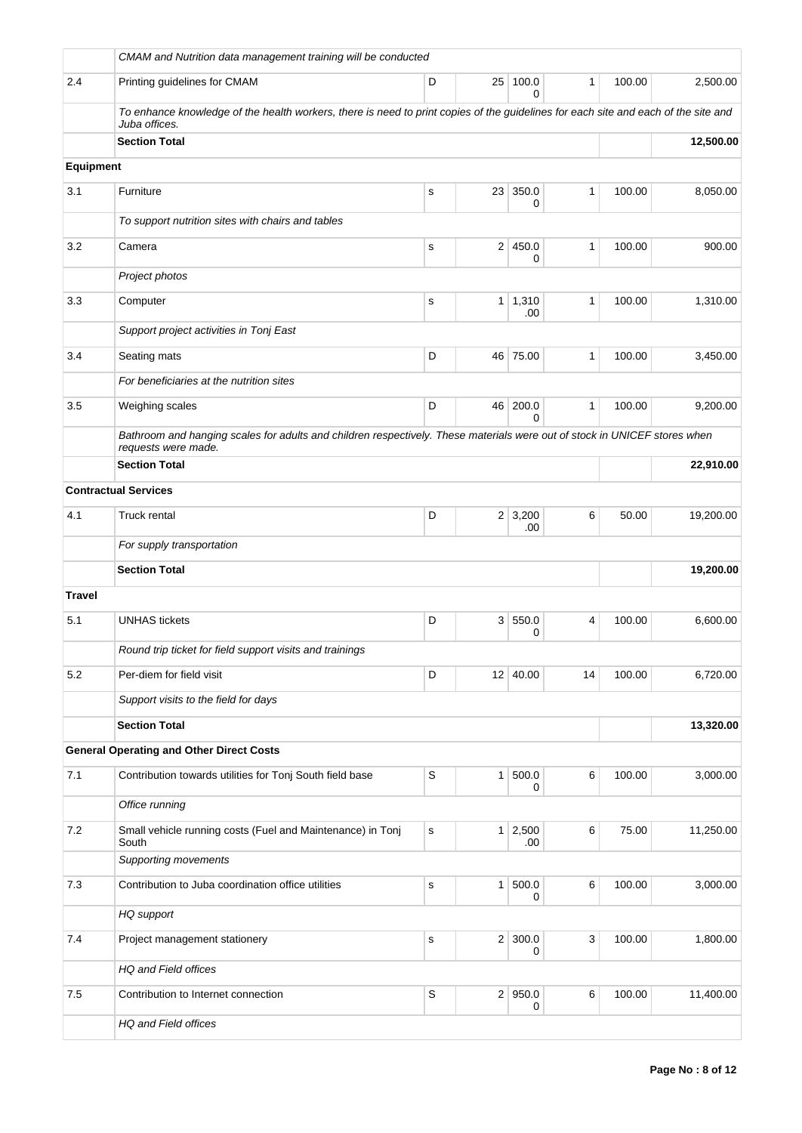|                  | CMAM and Nutrition data management training will be conducted                                                                                       |             |                 |                       |                |        |           |  |  |  |
|------------------|-----------------------------------------------------------------------------------------------------------------------------------------------------|-------------|-----------------|-----------------------|----------------|--------|-----------|--|--|--|
| 2.4              | Printing guidelines for CMAM                                                                                                                        | D           | 25 <sup>2</sup> | 100.0<br>0            | 1              | 100.00 | 2,500.00  |  |  |  |
|                  | To enhance knowledge of the health workers, there is need to print copies of the guidelines for each site and each of the site and<br>Juba offices. |             |                 |                       |                |        |           |  |  |  |
|                  | <b>Section Total</b>                                                                                                                                |             |                 |                       |                |        | 12,500.00 |  |  |  |
| <b>Equipment</b> |                                                                                                                                                     |             |                 |                       |                |        |           |  |  |  |
| 3.1              | Furniture                                                                                                                                           | s           | 23              | 350.0<br>0            | 1              | 100.00 | 8,050.00  |  |  |  |
|                  | To support nutrition sites with chairs and tables                                                                                                   |             |                 |                       |                |        |           |  |  |  |
| 3.2              | Camera                                                                                                                                              | $\mathbf s$ | $\overline{2}$  | 450.0<br>0            | 1              | 100.00 | 900.00    |  |  |  |
|                  | Project photos                                                                                                                                      |             |                 |                       |                |        |           |  |  |  |
| 3.3              | Computer                                                                                                                                            | s           |                 | $1 \mid 1,310$<br>.00 | 1              | 100.00 | 1,310.00  |  |  |  |
|                  | Support project activities in Tonj East                                                                                                             |             |                 |                       |                |        |           |  |  |  |
| 3.4              | Seating mats                                                                                                                                        | D           |                 | 46 75.00              | 1              | 100.00 | 3,450.00  |  |  |  |
|                  | For beneficiaries at the nutrition sites                                                                                                            |             |                 |                       |                |        |           |  |  |  |
| 3.5              | Weighing scales                                                                                                                                     | D           | 46              | 200.0<br>$\Omega$     | 1              | 100.00 | 9,200.00  |  |  |  |
|                  | Bathroom and hanging scales for adults and children respectively. These materials were out of stock in UNICEF stores when<br>requests were made.    |             |                 |                       |                |        |           |  |  |  |
|                  | <b>Section Total</b>                                                                                                                                |             |                 |                       |                |        | 22,910.00 |  |  |  |
|                  | <b>Contractual Services</b>                                                                                                                         |             |                 |                       |                |        |           |  |  |  |
| 4.1              | <b>Truck rental</b>                                                                                                                                 | D           |                 | $2 \mid 3,200$<br>.00 | 6              | 50.00  | 19,200.00 |  |  |  |
|                  | For supply transportation                                                                                                                           |             |                 |                       |                |        |           |  |  |  |
|                  | <b>Section Total</b>                                                                                                                                |             |                 |                       |                |        | 19,200.00 |  |  |  |
| <b>Travel</b>    |                                                                                                                                                     |             |                 |                       |                |        |           |  |  |  |
| 5.1              | <b>UNHAS</b> tickets                                                                                                                                | D           | 3               | 550.0<br>0            | $\overline{4}$ | 100.00 | 6,600.00  |  |  |  |
|                  | Round trip ticket for field support visits and trainings                                                                                            |             |                 |                       |                |        |           |  |  |  |
| 5.2              | Per-diem for field visit                                                                                                                            | D           |                 | 12 40.00              | 14             | 100.00 | 6,720.00  |  |  |  |
|                  | Support visits to the field for days                                                                                                                |             |                 |                       |                |        |           |  |  |  |
|                  | <b>Section Total</b>                                                                                                                                |             |                 |                       |                |        | 13,320.00 |  |  |  |
|                  | <b>General Operating and Other Direct Costs</b>                                                                                                     |             |                 |                       |                |        |           |  |  |  |
| 7.1              | Contribution towards utilities for Tonj South field base                                                                                            | S           | $\mathbf{1}$    | 500.0<br>0            | 6              | 100.00 | 3,000.00  |  |  |  |
|                  | Office running                                                                                                                                      |             |                 |                       |                |        |           |  |  |  |
| 7.2              | Small vehicle running costs (Fuel and Maintenance) in Tonj<br>South                                                                                 | ${\tt S}$   | $\mathbf{1}$    | 2,500<br>.00          | 6              | 75.00  | 11,250.00 |  |  |  |
|                  | <b>Supporting movements</b>                                                                                                                         |             |                 |                       |                |        |           |  |  |  |
| 7.3              | Contribution to Juba coordination office utilities                                                                                                  | $\mathbf s$ | $\mathbf{1}$    | 500.0<br>0            | 6              | 100.00 | 3,000.00  |  |  |  |
|                  | HQ support                                                                                                                                          |             |                 |                       |                |        |           |  |  |  |
| 7.4              | Project management stationery                                                                                                                       | $\mathbf s$ |                 | $2 \mid 300.0$<br>0   | 3              | 100.00 | 1,800.00  |  |  |  |
|                  | HQ and Field offices                                                                                                                                |             |                 |                       |                |        |           |  |  |  |
| 7.5              | Contribution to Internet connection                                                                                                                 | $\mathsf S$ |                 | $2$ 950.0<br>0        | 6              | 100.00 | 11,400.00 |  |  |  |
|                  | HQ and Field offices                                                                                                                                |             |                 |                       |                |        |           |  |  |  |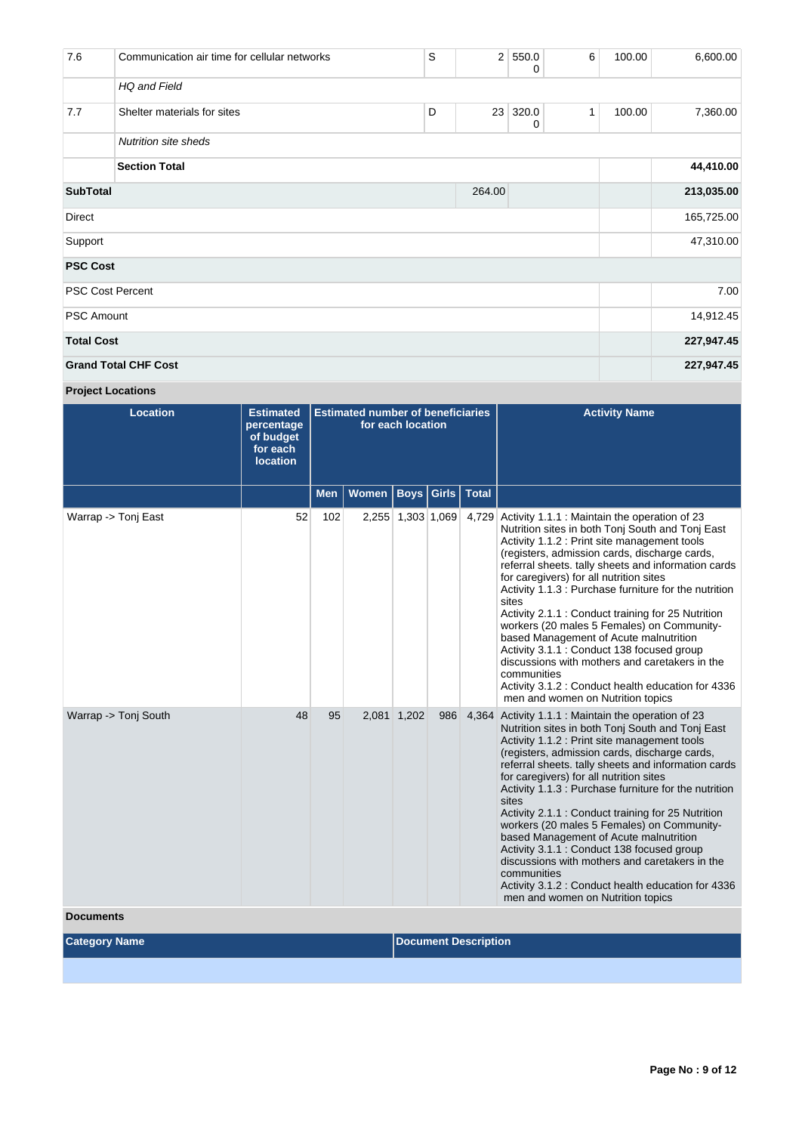| 7.6                       | Communication air time for cellular networks | S         | 2 <sup>1</sup> | 550.0<br>0 | 6 | 100.00 | 6,600.00   |
|---------------------------|----------------------------------------------|-----------|----------------|------------|---|--------|------------|
|                           | HQ and Field                                 |           |                |            |   |        |            |
| 7.7                       | Shelter materials for sites                  | D         | 23             | 320.0<br>0 | 1 | 100.00 | 7,360.00   |
|                           |                                              |           |                |            |   |        |            |
|                           |                                              | 44,410.00 |                |            |   |        |            |
| <b>SubTotal</b><br>264.00 |                                              |           |                |            |   |        | 213,035.00 |
| <b>Direct</b>             |                                              |           |                |            |   |        | 165,725.00 |
| Support                   |                                              |           |                |            |   |        | 47,310.00  |
| <b>PSC Cost</b>           |                                              |           |                |            |   |        |            |
| <b>PSC Cost Percent</b>   |                                              |           |                |            |   |        | 7.00       |
| <b>PSC Amount</b>         |                                              |           |                |            |   |        | 14,912.45  |
| <b>Total Cost</b>         |                                              |           |                |            |   |        | 227,947.45 |
|                           | <b>Grand Total CHF Cost</b>                  |           |                |            |   |        | 227,947.45 |

# **Project Locations**

| <b>Location</b>                          | <b>Estimated</b><br>percentage<br>of budget<br>for each<br><b>location</b> | <b>Estimated number of beneficiaries</b><br>for each location |                              |                   |     |       | <b>Activity Name</b>                                                                                                                                                                                                                                                                                                                                                                                                                                                                                                                                                                                                                                                                                                           |
|------------------------------------------|----------------------------------------------------------------------------|---------------------------------------------------------------|------------------------------|-------------------|-----|-------|--------------------------------------------------------------------------------------------------------------------------------------------------------------------------------------------------------------------------------------------------------------------------------------------------------------------------------------------------------------------------------------------------------------------------------------------------------------------------------------------------------------------------------------------------------------------------------------------------------------------------------------------------------------------------------------------------------------------------------|
|                                          |                                                                            | <b>Men</b>                                                    | Women   Boys   Girls   Total |                   |     |       |                                                                                                                                                                                                                                                                                                                                                                                                                                                                                                                                                                                                                                                                                                                                |
| Warrap -> Tonj East                      | 52                                                                         | 102                                                           |                              | 2,255 1,303 1,069 |     | 4,729 | Activity 1.1.1 : Maintain the operation of 23<br>Nutrition sites in both Tonj South and Tonj East<br>Activity 1.1.2 : Print site management tools<br>(registers, admission cards, discharge cards,<br>referral sheets. tally sheets and information cards<br>for caregivers) for all nutrition sites<br>Activity 1.1.3 : Purchase furniture for the nutrition<br>sites<br>Activity 2.1.1 : Conduct training for 25 Nutrition<br>workers (20 males 5 Females) on Community-<br>based Management of Acute malnutrition<br>Activity 3.1.1 : Conduct 138 focused group<br>discussions with mothers and caretakers in the<br>communities<br>Activity 3.1.2 : Conduct health education for 4336<br>men and women on Nutrition topics |
| Warrap -> Tonj South<br><b>Documents</b> | 48                                                                         | 95                                                            |                              | 2,081 1,202       | 986 | 4,364 | Activity 1.1.1 : Maintain the operation of 23<br>Nutrition sites in both Tonj South and Tonj East<br>Activity 1.1.2 : Print site management tools<br>(registers, admission cards, discharge cards,<br>referral sheets. tally sheets and information cards<br>for caregivers) for all nutrition sites<br>Activity 1.1.3 : Purchase furniture for the nutrition<br>sites<br>Activity 2.1.1 : Conduct training for 25 Nutrition<br>workers (20 males 5 Females) on Community-<br>based Management of Acute malnutrition<br>Activity 3.1.1 : Conduct 138 focused group<br>discussions with mothers and caretakers in the<br>communities<br>Activity 3.1.2 : Conduct health education for 4336<br>men and women on Nutrition topics |

**Category Name Discription Description**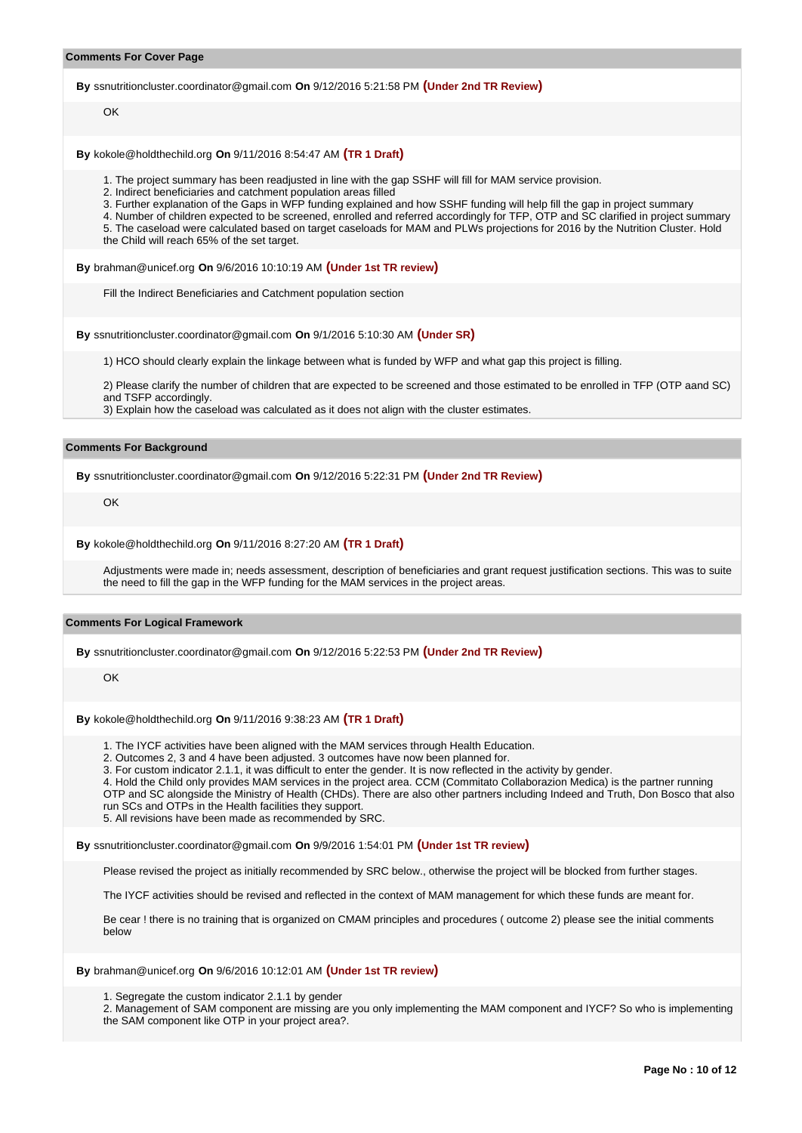#### **Comments For Cover Page**

**By** ssnutritioncluster.coordinator@gmail.com **On** 9/12/2016 5:21:58 PM **(Under 2nd TR Review)**

OK

**By** kokole@holdthechild.org **On** 9/11/2016 8:54:47 AM **(TR 1 Draft)**

1. The project summary has been readjusted in line with the gap SSHF will fill for MAM service provision.

2. Indirect beneficiaries and catchment population areas filled

3. Further explanation of the Gaps in WFP funding explained and how SSHF funding will help fill the gap in project summary

4. Number of children expected to be screened, enrolled and referred accordingly for TFP, OTP and SC clarified in project summary 5. The caseload were calculated based on target caseloads for MAM and PLWs projections for 2016 by the Nutrition Cluster. Hold

the Child will reach 65% of the set target.

**By** brahman@unicef.org **On** 9/6/2016 10:10:19 AM **(Under 1st TR review)**

Fill the Indirect Beneficiaries and Catchment population section

**By** ssnutritioncluster.coordinator@gmail.com **On** 9/1/2016 5:10:30 AM **(Under SR)**

1) HCO should clearly explain the linkage between what is funded by WFP and what gap this project is filling.

2) Please clarify the number of children that are expected to be screened and those estimated to be enrolled in TFP (OTP aand SC) and TSFP accordingly.

3) Explain how the caseload was calculated as it does not align with the cluster estimates.

## **Comments For Background**

**By** ssnutritioncluster.coordinator@gmail.com **On** 9/12/2016 5:22:31 PM **(Under 2nd TR Review)**

OK

**By** kokole@holdthechild.org **On** 9/11/2016 8:27:20 AM **(TR 1 Draft)**

Adjustments were made in; needs assessment, description of beneficiaries and grant request justification sections. This was to suite the need to fill the gap in the WFP funding for the MAM services in the project areas.

#### **Comments For Logical Framework**

**By** ssnutritioncluster.coordinator@gmail.com **On** 9/12/2016 5:22:53 PM **(Under 2nd TR Review)**

OK

**By** kokole@holdthechild.org **On** 9/11/2016 9:38:23 AM **(TR 1 Draft)**

1. The IYCF activities have been aligned with the MAM services through Health Education.

2. Outcomes 2, 3 and 4 have been adjusted. 3 outcomes have now been planned for.

3. For custom indicator 2.1.1, it was difficult to enter the gender. It is now reflected in the activity by gender.

4. Hold the Child only provides MAM services in the project area. CCM (Commitato Collaborazion Medica) is the partner running OTP and SC alongside the Ministry of Health (CHDs). There are also other partners including Indeed and Truth, Don Bosco that also

run SCs and OTPs in the Health facilities they support. 5. All revisions have been made as recommended by SRC.

**By** ssnutritioncluster.coordinator@gmail.com **On** 9/9/2016 1:54:01 PM **(Under 1st TR review)**

Please revised the project as initially recommended by SRC below., otherwise the project will be blocked from further stages.

The IYCF activities should be revised and reflected in the context of MAM management for which these funds are meant for.

Be cear ! there is no training that is organized on CMAM principles and procedures ( outcome 2) please see the initial comments below

**By** brahman@unicef.org **On** 9/6/2016 10:12:01 AM **(Under 1st TR review)**

1. Segregate the custom indicator 2.1.1 by gender

2. Management of SAM component are missing are you only implementing the MAM component and IYCF? So who is implementing the SAM component like OTP in your project area?.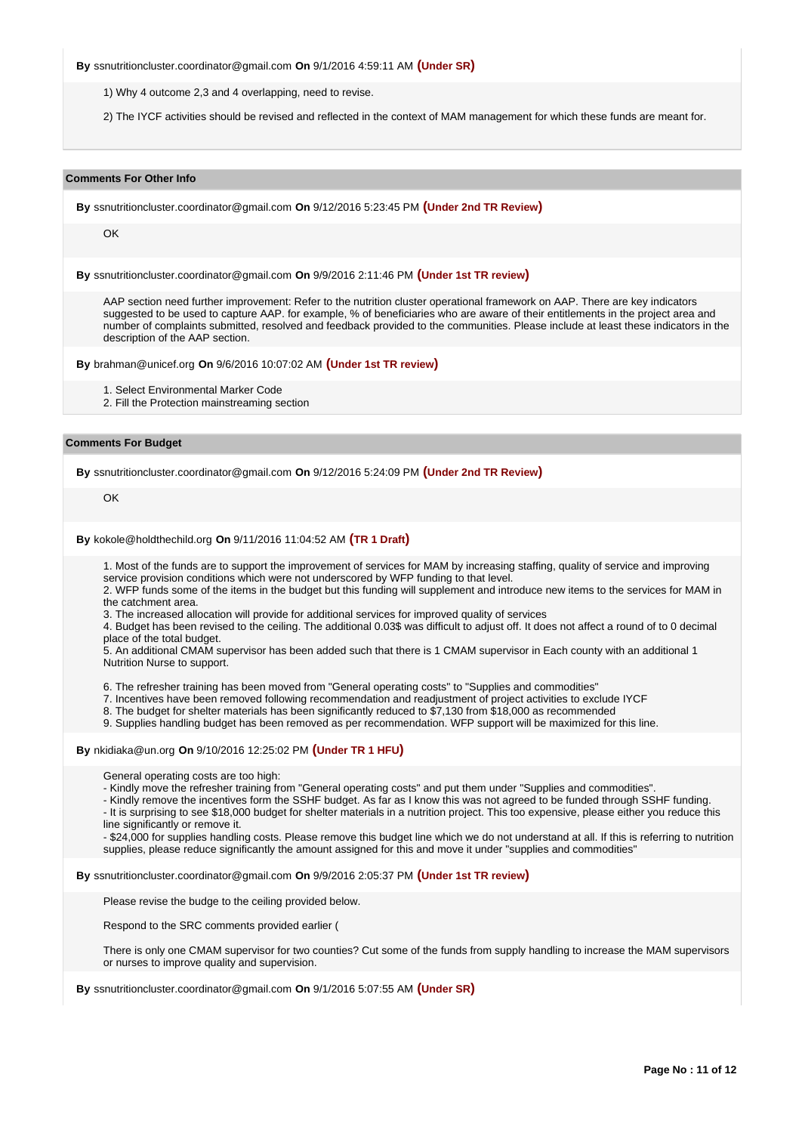**By** ssnutritioncluster.coordinator@gmail.com **On** 9/1/2016 4:59:11 AM **(Under SR)**

1) Why 4 outcome 2,3 and 4 overlapping, need to revise.

2) The IYCF activities should be revised and reflected in the context of MAM management for which these funds are meant for.

#### **Comments For Other Info**

**By** ssnutritioncluster.coordinator@gmail.com **On** 9/12/2016 5:23:45 PM **(Under 2nd TR Review)**

OK

**By** ssnutritioncluster.coordinator@gmail.com **On** 9/9/2016 2:11:46 PM **(Under 1st TR review)**

AAP section need further improvement: Refer to the nutrition cluster operational framework on AAP. There are key indicators suggested to be used to capture AAP. for example, % of beneficiaries who are aware of their entitlements in the project area and number of complaints submitted, resolved and feedback provided to the communities. Please include at least these indicators in the description of the AAP section.

**By** brahman@unicef.org **On** 9/6/2016 10:07:02 AM **(Under 1st TR review)**

- 1. Select Environmental Marker Code
- 2. Fill the Protection mainstreaming section

#### **Comments For Budget**

**By** ssnutritioncluster.coordinator@gmail.com **On** 9/12/2016 5:24:09 PM **(Under 2nd TR Review)**

**OK** 

**By** kokole@holdthechild.org **On** 9/11/2016 11:04:52 AM **(TR 1 Draft)**

1. Most of the funds are to support the improvement of services for MAM by increasing staffing, quality of service and improving service provision conditions which were not underscored by WFP funding to that level.

2. WFP funds some of the items in the budget but this funding will supplement and introduce new items to the services for MAM in the catchment area.

3. The increased allocation will provide for additional services for improved quality of services

4. Budget has been revised to the ceiling. The additional 0.03\$ was difficult to adjust off. It does not affect a round of to 0 decimal place of the total budget.

5. An additional CMAM supervisor has been added such that there is 1 CMAM supervisor in Each county with an additional 1 Nutrition Nurse to support.

6. The refresher training has been moved from "General operating costs" to "Supplies and commodities"

7. Incentives have been removed following recommendation and readjustment of project activities to exclude IYCF

8. The budget for shelter materials has been significantly reduced to \$7,130 from \$18,000 as recommended

9. Supplies handling budget has been removed as per recommendation. WFP support will be maximized for this line.

### **By** nkidiaka@un.org **On** 9/10/2016 12:25:02 PM **(Under TR 1 HFU)**

General operating costs are too high:

- Kindly move the refresher training from "General operating costs" and put them under "Supplies and commodities".

- Kindly remove the incentives form the SSHF budget. As far as I know this was not agreed to be funded through SSHF funding. - It is surprising to see \$18,000 budget for shelter materials in a nutrition project. This too expensive, please either you reduce this line significantly or remove it.

- \$24,000 for supplies handling costs. Please remove this budget line which we do not understand at all. If this is referring to nutrition supplies, please reduce significantly the amount assigned for this and move it under "supplies and commodities"

**By** ssnutritioncluster.coordinator@gmail.com **On** 9/9/2016 2:05:37 PM **(Under 1st TR review)**

Please revise the budge to the ceiling provided below.

Respond to the SRC comments provided earlier (

There is only one CMAM supervisor for two counties? Cut some of the funds from supply handling to increase the MAM supervisors or nurses to improve quality and supervision.

**By** ssnutritioncluster.coordinator@gmail.com **On** 9/1/2016 5:07:55 AM **(Under SR)**